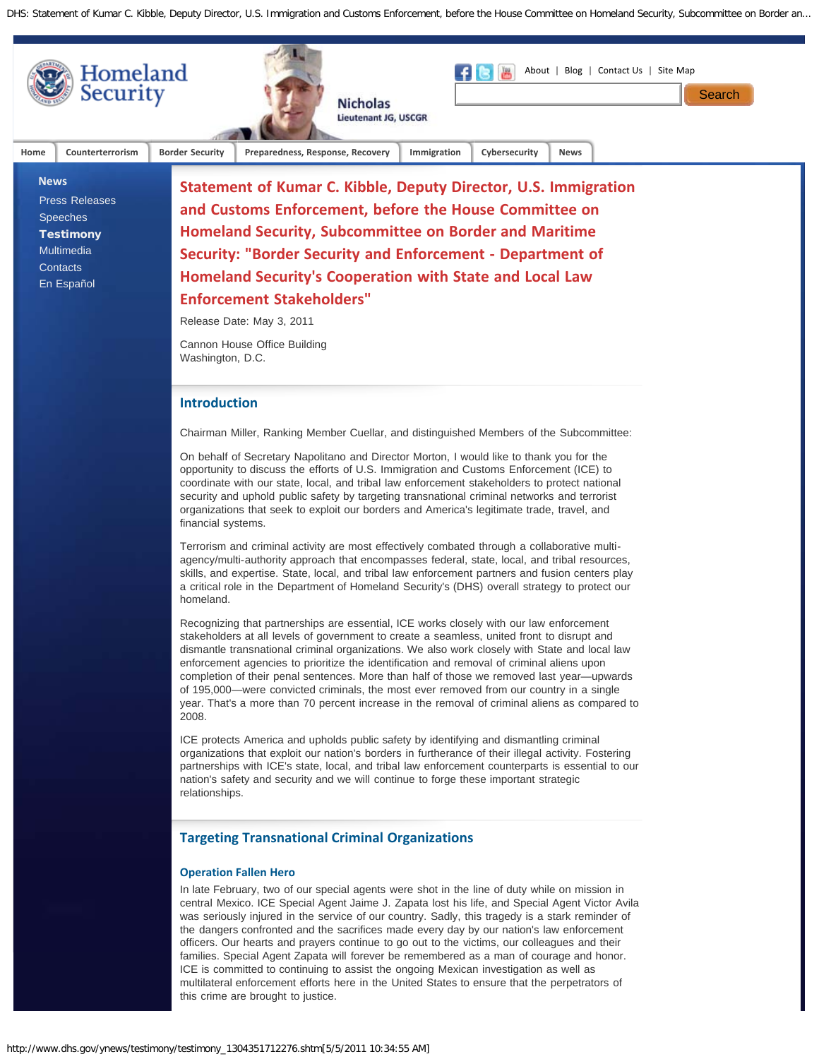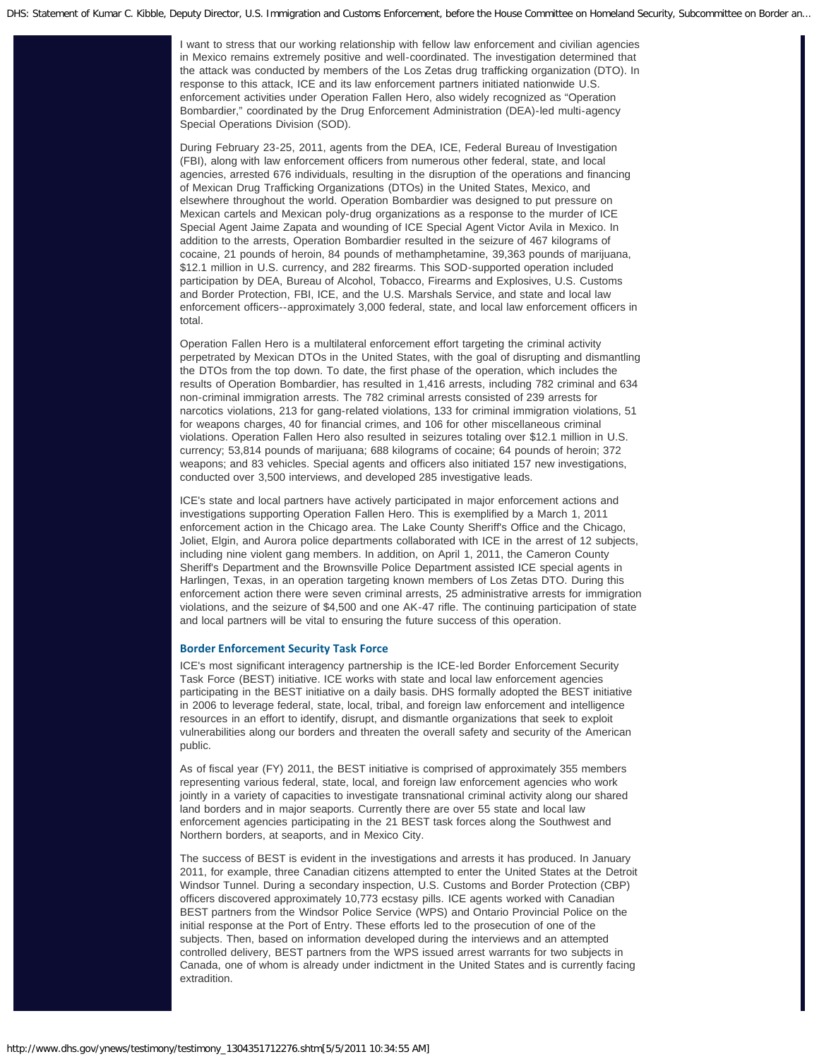I want to stress that our working relationship with fellow law enforcement and civilian agencies in Mexico remains extremely positive and well-coordinated. The investigation determined that the attack was conducted by members of the Los Zetas drug trafficking organization (DTO). In response to this attack, ICE and its law enforcement partners initiated nationwide U.S. enforcement activities under Operation Fallen Hero, also widely recognized as "Operation Bombardier," coordinated by the Drug Enforcement Administration (DEA)-led multi-agency Special Operations Division (SOD).

During February 23-25, 2011, agents from the DEA, ICE, Federal Bureau of Investigation (FBI), along with law enforcement officers from numerous other federal, state, and local agencies, arrested 676 individuals, resulting in the disruption of the operations and financing of Mexican Drug Trafficking Organizations (DTOs) in the United States, Mexico, and elsewhere throughout the world. Operation Bombardier was designed to put pressure on Mexican cartels and Mexican poly-drug organizations as a response to the murder of ICE Special Agent Jaime Zapata and wounding of ICE Special Agent Victor Avila in Mexico. In addition to the arrests, Operation Bombardier resulted in the seizure of 467 kilograms of cocaine, 21 pounds of heroin, 84 pounds of methamphetamine, 39,363 pounds of marijuana, \$12.1 million in U.S. currency, and 282 firearms. This SOD-supported operation included participation by DEA, Bureau of Alcohol, Tobacco, Firearms and Explosives, U.S. Customs and Border Protection, FBI, ICE, and the U.S. Marshals Service, and state and local law enforcement officers--approximately 3,000 federal, state, and local law enforcement officers in total.

Operation Fallen Hero is a multilateral enforcement effort targeting the criminal activity perpetrated by Mexican DTOs in the United States, with the goal of disrupting and dismantling the DTOs from the top down. To date, the first phase of the operation, which includes the results of Operation Bombardier, has resulted in 1,416 arrests, including 782 criminal and 634 non-criminal immigration arrests. The 782 criminal arrests consisted of 239 arrests for narcotics violations, 213 for gang-related violations, 133 for criminal immigration violations, 51 for weapons charges, 40 for financial crimes, and 106 for other miscellaneous criminal violations. Operation Fallen Hero also resulted in seizures totaling over \$12.1 million in U.S. currency; 53,814 pounds of marijuana; 688 kilograms of cocaine; 64 pounds of heroin; 372 weapons; and 83 vehicles. Special agents and officers also initiated 157 new investigations, conducted over 3,500 interviews, and developed 285 investigative leads.

ICE's state and local partners have actively participated in major enforcement actions and investigations supporting Operation Fallen Hero. This is exemplified by a March 1, 2011 enforcement action in the Chicago area. The Lake County Sheriff's Office and the Chicago, Joliet, Elgin, and Aurora police departments collaborated with ICE in the arrest of 12 subjects, including nine violent gang members. In addition, on April 1, 2011, the Cameron County Sheriff's Department and the Brownsville Police Department assisted ICE special agents in Harlingen, Texas, in an operation targeting known members of Los Zetas DTO. During this enforcement action there were seven criminal arrests, 25 administrative arrests for immigration violations, and the seizure of \$4,500 and one AK-47 rifle. The continuing participation of state and local partners will be vital to ensuring the future success of this operation.

### **Border Enforcement Security Task Force**

ICE's most significant interagency partnership is the ICE-led Border Enforcement Security Task Force (BEST) initiative. ICE works with state and local law enforcement agencies participating in the BEST initiative on a daily basis. DHS formally adopted the BEST initiative in 2006 to leverage federal, state, local, tribal, and foreign law enforcement and intelligence resources in an effort to identify, disrupt, and dismantle organizations that seek to exploit vulnerabilities along our borders and threaten the overall safety and security of the American public.

As of fiscal year (FY) 2011, the BEST initiative is comprised of approximately 355 members representing various federal, state, local, and foreign law enforcement agencies who work jointly in a variety of capacities to investigate transnational criminal activity along our shared land borders and in major seaports. Currently there are over 55 state and local law enforcement agencies participating in the 21 BEST task forces along the Southwest and Northern borders, at seaports, and in Mexico City.

The success of BEST is evident in the investigations and arrests it has produced. In January 2011, for example, three Canadian citizens attempted to enter the United States at the Detroit Windsor Tunnel. During a secondary inspection, U.S. Customs and Border Protection (CBP) officers discovered approximately 10,773 ecstasy pills. ICE agents worked with Canadian BEST partners from the Windsor Police Service (WPS) and Ontario Provincial Police on the initial response at the Port of Entry. These efforts led to the prosecution of one of the subjects. Then, based on information developed during the interviews and an attempted controlled delivery, BEST partners from the WPS issued arrest warrants for two subjects in Canada, one of whom is already under indictment in the United States and is currently facing extradition.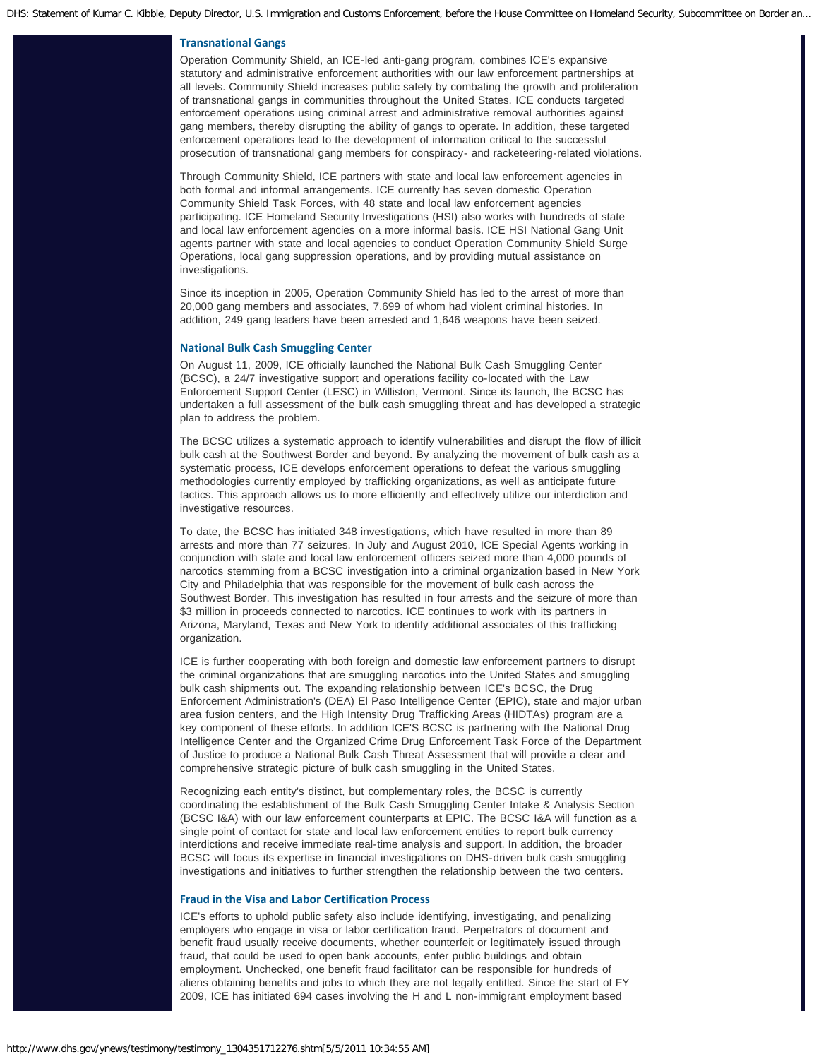### **Transnational Gangs**

Operation Community Shield, an ICE-led anti-gang program, combines ICE's expansive statutory and administrative enforcement authorities with our law enforcement partnerships at all levels. Community Shield increases public safety by combating the growth and proliferation of transnational gangs in communities throughout the United States. ICE conducts targeted enforcement operations using criminal arrest and administrative removal authorities against gang members, thereby disrupting the ability of gangs to operate. In addition, these targeted enforcement operations lead to the development of information critical to the successful prosecution of transnational gang members for conspiracy- and racketeering-related violations.

Through Community Shield, ICE partners with state and local law enforcement agencies in both formal and informal arrangements. ICE currently has seven domestic Operation Community Shield Task Forces, with 48 state and local law enforcement agencies participating. ICE Homeland Security Investigations (HSI) also works with hundreds of state and local law enforcement agencies on a more informal basis. ICE HSI National Gang Unit agents partner with state and local agencies to conduct Operation Community Shield Surge Operations, local gang suppression operations, and by providing mutual assistance on investigations.

Since its inception in 2005, Operation Community Shield has led to the arrest of more than 20,000 gang members and associates, 7,699 of whom had violent criminal histories. In addition, 249 gang leaders have been arrested and 1,646 weapons have been seized.

#### **National Bulk Cash Smuggling Center**

On August 11, 2009, ICE officially launched the National Bulk Cash Smuggling Center (BCSC), a 24/7 investigative support and operations facility co-located with the Law Enforcement Support Center (LESC) in Williston, Vermont. Since its launch, the BCSC has undertaken a full assessment of the bulk cash smuggling threat and has developed a strategic plan to address the problem.

The BCSC utilizes a systematic approach to identify vulnerabilities and disrupt the flow of illicit bulk cash at the Southwest Border and beyond. By analyzing the movement of bulk cash as a systematic process, ICE develops enforcement operations to defeat the various smuggling methodologies currently employed by trafficking organizations, as well as anticipate future tactics. This approach allows us to more efficiently and effectively utilize our interdiction and investigative resources.

To date, the BCSC has initiated 348 investigations, which have resulted in more than 89 arrests and more than 77 seizures. In July and August 2010, ICE Special Agents working in conjunction with state and local law enforcement officers seized more than 4,000 pounds of narcotics stemming from a BCSC investigation into a criminal organization based in New York City and Philadelphia that was responsible for the movement of bulk cash across the Southwest Border. This investigation has resulted in four arrests and the seizure of more than \$3 million in proceeds connected to narcotics. ICE continues to work with its partners in Arizona, Maryland, Texas and New York to identify additional associates of this trafficking organization.

ICE is further cooperating with both foreign and domestic law enforcement partners to disrupt the criminal organizations that are smuggling narcotics into the United States and smuggling bulk cash shipments out. The expanding relationship between ICE's BCSC, the Drug Enforcement Administration's (DEA) El Paso Intelligence Center (EPIC), state and major urban area fusion centers, and the High Intensity Drug Trafficking Areas (HIDTAs) program are a key component of these efforts. In addition ICE'S BCSC is partnering with the National Drug Intelligence Center and the Organized Crime Drug Enforcement Task Force of the Department of Justice to produce a National Bulk Cash Threat Assessment that will provide a clear and comprehensive strategic picture of bulk cash smuggling in the United States.

Recognizing each entity's distinct, but complementary roles, the BCSC is currently coordinating the establishment of the Bulk Cash Smuggling Center Intake & Analysis Section (BCSC I&A) with our law enforcement counterparts at EPIC. The BCSC I&A will function as a single point of contact for state and local law enforcement entities to report bulk currency interdictions and receive immediate real-time analysis and support. In addition, the broader BCSC will focus its expertise in financial investigations on DHS-driven bulk cash smuggling investigations and initiatives to further strengthen the relationship between the two centers.

### **Fraud in the Visa and Labor Certification Process**

ICE's efforts to uphold public safety also include identifying, investigating, and penalizing employers who engage in visa or labor certification fraud. Perpetrators of document and benefit fraud usually receive documents, whether counterfeit or legitimately issued through fraud, that could be used to open bank accounts, enter public buildings and obtain employment. Unchecked, one benefit fraud facilitator can be responsible for hundreds of aliens obtaining benefits and jobs to which they are not legally entitled. Since the start of FY 2009, ICE has initiated 694 cases involving the H and L non-immigrant employment based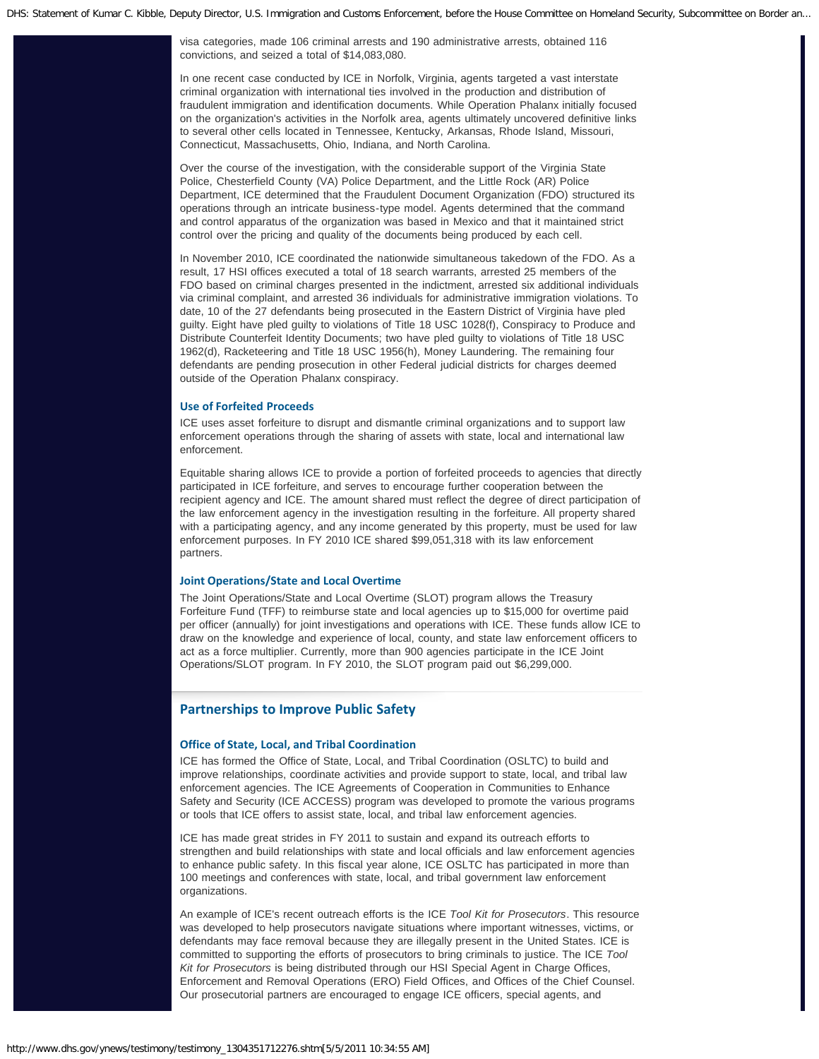visa categories, made 106 criminal arrests and 190 administrative arrests, obtained 116 convictions, and seized a total of \$14,083,080.

In one recent case conducted by ICE in Norfolk, Virginia, agents targeted a vast interstate criminal organization with international ties involved in the production and distribution of fraudulent immigration and identification documents. While Operation Phalanx initially focused on the organization's activities in the Norfolk area, agents ultimately uncovered definitive links to several other cells located in Tennessee, Kentucky, Arkansas, Rhode Island, Missouri, Connecticut, Massachusetts, Ohio, Indiana, and North Carolina.

Over the course of the investigation, with the considerable support of the Virginia State Police, Chesterfield County (VA) Police Department, and the Little Rock (AR) Police Department, ICE determined that the Fraudulent Document Organization (FDO) structured its operations through an intricate business-type model. Agents determined that the command and control apparatus of the organization was based in Mexico and that it maintained strict control over the pricing and quality of the documents being produced by each cell.

In November 2010, ICE coordinated the nationwide simultaneous takedown of the FDO. As a result, 17 HSI offices executed a total of 18 search warrants, arrested 25 members of the FDO based on criminal charges presented in the indictment, arrested six additional individuals via criminal complaint, and arrested 36 individuals for administrative immigration violations. To date, 10 of the 27 defendants being prosecuted in the Eastern District of Virginia have pled guilty. Eight have pled guilty to violations of Title 18 USC 1028(f), Conspiracy to Produce and Distribute Counterfeit Identity Documents; two have pled guilty to violations of Title 18 USC 1962(d), Racketeering and Title 18 USC 1956(h), Money Laundering. The remaining four defendants are pending prosecution in other Federal judicial districts for charges deemed outside of the Operation Phalanx conspiracy.

### **Use of Forfeited Proceeds**

ICE uses asset forfeiture to disrupt and dismantle criminal organizations and to support law enforcement operations through the sharing of assets with state, local and international law enforcement.

Equitable sharing allows ICE to provide a portion of forfeited proceeds to agencies that directly participated in ICE forfeiture, and serves to encourage further cooperation between the recipient agency and ICE. The amount shared must reflect the degree of direct participation of the law enforcement agency in the investigation resulting in the forfeiture. All property shared with a participating agency, and any income generated by this property, must be used for law enforcement purposes. In FY 2010 ICE shared \$99,051,318 with its law enforcement partners.

### **Joint Operations/State and Local Overtime**

The Joint Operations/State and Local Overtime (SLOT) program allows the Treasury Forfeiture Fund (TFF) to reimburse state and local agencies up to \$15,000 for overtime paid per officer (annually) for joint investigations and operations with ICE. These funds allow ICE to draw on the knowledge and experience of local, county, and state law enforcement officers to act as a force multiplier. Currently, more than 900 agencies participate in the ICE Joint Operations/SLOT program. In FY 2010, the SLOT program paid out \$6,299,000.

# **Partnerships to Improve Public Safety**

### **Office of State, Local, and Tribal Coordination**

ICE has formed the Office of State, Local, and Tribal Coordination (OSLTC) to build and improve relationships, coordinate activities and provide support to state, local, and tribal law enforcement agencies. The ICE Agreements of Cooperation in Communities to Enhance Safety and Security (ICE ACCESS) program was developed to promote the various programs or tools that ICE offers to assist state, local, and tribal law enforcement agencies.

ICE has made great strides in FY 2011 to sustain and expand its outreach efforts to strengthen and build relationships with state and local officials and law enforcement agencies to enhance public safety. In this fiscal year alone, ICE OSLTC has participated in more than 100 meetings and conferences with state, local, and tribal government law enforcement organizations.

An example of ICE's recent outreach efforts is the ICE *Tool Kit for Prosecutors*. This resource was developed to help prosecutors navigate situations where important witnesses, victims, or defendants may face removal because they are illegally present in the United States. ICE is committed to supporting the efforts of prosecutors to bring criminals to justice. The ICE *Tool Kit for Prosecutors* is being distributed through our HSI Special Agent in Charge Offices, Enforcement and Removal Operations (ERO) Field Offices, and Offices of the Chief Counsel. Our prosecutorial partners are encouraged to engage ICE officers, special agents, and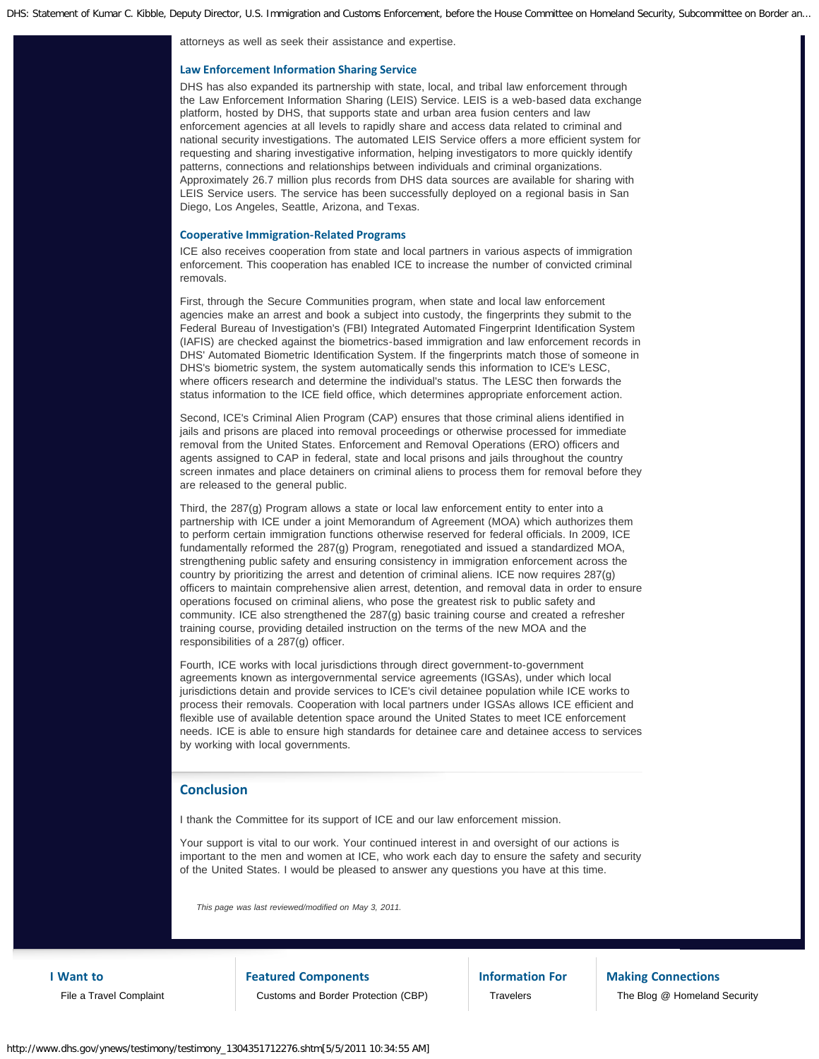attorneys as well as seek their assistance and expertise.

### **Law Enforcement Information Sharing Service**

DHS has also expanded its partnership with state, local, and tribal law enforcement through the Law Enforcement Information Sharing (LEIS) Service. LEIS is a web-based data exchange platform, hosted by DHS, that supports state and urban area fusion centers and law enforcement agencies at all levels to rapidly share and access data related to criminal and national security investigations. The automated LEIS Service offers a more efficient system for requesting and sharing investigative information, helping investigators to more quickly identify patterns, connections and relationships between individuals and criminal organizations. Approximately 26.7 million plus records from DHS data sources are available for sharing with LEIS Service users. The service has been successfully deployed on a regional basis in San Diego, Los Angeles, Seattle, Arizona, and Texas.

### **Cooperative Immigration-Related Programs**

ICE also receives cooperation from state and local partners in various aspects of immigration enforcement. This cooperation has enabled ICE to increase the number of convicted criminal removals.

First, through the Secure Communities program, when state and local law enforcement agencies make an arrest and book a subject into custody, the fingerprints they submit to the Federal Bureau of Investigation's (FBI) Integrated Automated Fingerprint Identification System (IAFIS) are checked against the biometrics-based immigration and law enforcement records in DHS' Automated Biometric Identification System. If the fingerprints match those of someone in DHS's biometric system, the system automatically sends this information to ICE's LESC, where officers research and determine the individual's status. The LESC then forwards the status information to the ICE field office, which determines appropriate enforcement action.

Second, ICE's Criminal Alien Program (CAP) ensures that those criminal aliens identified in jails and prisons are placed into removal proceedings or otherwise processed for immediate removal from the United States. Enforcement and Removal Operations (ERO) officers and agents assigned to CAP in federal, state and local prisons and jails throughout the country screen inmates and place detainers on criminal aliens to process them for removal before they are released to the general public.

Third, the 287(g) Program allows a state or local law enforcement entity to enter into a partnership with ICE under a joint Memorandum of Agreement (MOA) which authorizes them to perform certain immigration functions otherwise reserved for federal officials. In 2009, ICE fundamentally reformed the 287(g) Program, renegotiated and issued a standardized MOA, strengthening public safety and ensuring consistency in immigration enforcement across the country by prioritizing the arrest and detention of criminal aliens. ICE now requires 287(g) officers to maintain comprehensive alien arrest, detention, and removal data in order to ensure operations focused on criminal aliens, who pose the greatest risk to public safety and community. ICE also strengthened the 287(g) basic training course and created a refresher training course, providing detailed instruction on the terms of the new MOA and the responsibilities of a 287(g) officer.

Fourth, ICE works with local jurisdictions through direct government-to-government agreements known as intergovernmental service agreements (IGSAs), under which local jurisdictions detain and provide services to ICE's civil detainee population while ICE works to process their removals. Cooperation with local partners under IGSAs allows ICE efficient and flexible use of available detention space around the United States to meet ICE enforcement needs. ICE is able to ensure high standards for detainee care and detainee access to services by working with local governments.

# **Conclusion**

I thank the Committee for its support of ICE and our law enforcement mission.

Your support is vital to our work. Your continued interest in and oversight of our actions is important to the men and women at ICE, who work each day to ensure the safety and security of the United States. I would be pleased to answer any questions you have at this time.

*This page was last reviewed/modified on May 3, 2011.*

**I Want to** [File a Travel Complaint](http://www.dhs.gov/files/programs/gc_1169673653081.shtm) **Featured Components** [Customs and Border Protection \(CBP\)](http://cbp.gov/) **Information For [Travelers](http://www.dhs.gov/files/travelers.shtm)** 

**Making Connections** [The Blog @ Homeland Security](http://blog.dhs.gov/)